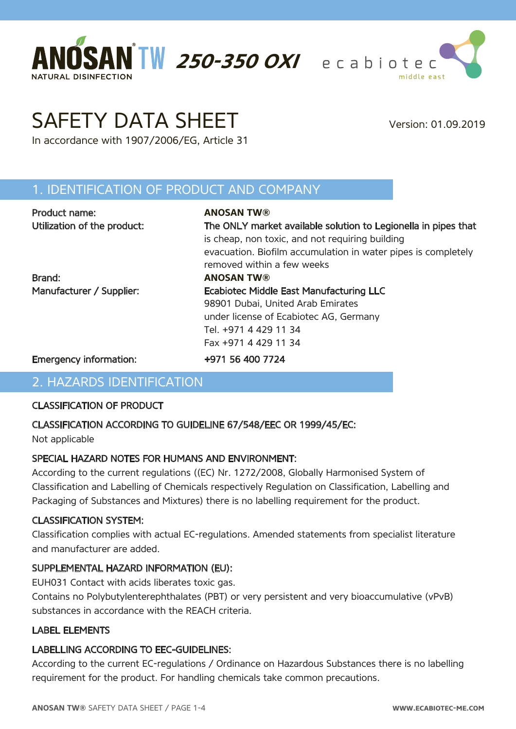



# SAFETY DATA SHEET Version: 01.09.2019

In accordance with 1907/2006/EG, Article 31

# 1. IDENTIFICATION OF PRODUCT AND COMPANY

Product name: **ANOSAN TW®** Utilization of the product: The ONLY market available solution to Legionella in pipes that is cheap, non toxic, and not requiring building evacuation. Biofilm accumulation in water pipes is completely removed within a few weeks Brand: **ANOSAN TW®** Manufacturer / Supplier: Ecabiotec Middle East Manufacturing LLC 98901 Dubai, United Arab Emirates under license of Ecabiotec AG, Germany Tel. +971 4 429 11 34 Fax +971 4 429 11 34 Emergency information: +971 56 400 7724

#### 2. HAZARDS IDENTIFICATION

#### CLASSIFICATION OF PRODUCT

#### CLASSIFICATION ACCORDING TO GUIDELINE 67/548/EEC OR 1999/45/EC:

Not applicable

#### SPECIAL HAZARD NOTES FOR HUMANS AND ENVIRONMENT:

According to the current regulations ((EC) Nr. 1272/2008, Globally Harmonised System of Classification and Labelling of Chemicals respectively Regulation on Classification, Labelling and Packaging of Substances and Mixtures) there is no labelling requirement for the product.

#### CLASSIFICATION SYSTEM:

Classification complies with actual EC-regulations. Amended statements from specialist literature and manufacturer are added.

#### SUPPLEMENTAL HAZARD INFORMATION (EU):

EUH031 Contact with acids liberates toxic gas.

Contains no Polybutylenterephthalates (PBT) or very persistent and very bioaccumulative (vPvB) substances in accordance with the REACH criteria.

#### LABEL ELEMENTS

#### LABELLING ACCORDING TO EEC-GUIDELINES:

According to the current EC-regulations / Ordinance on Hazardous Substances there is no labelling requirement for the product. For handling chemicals take common precautions.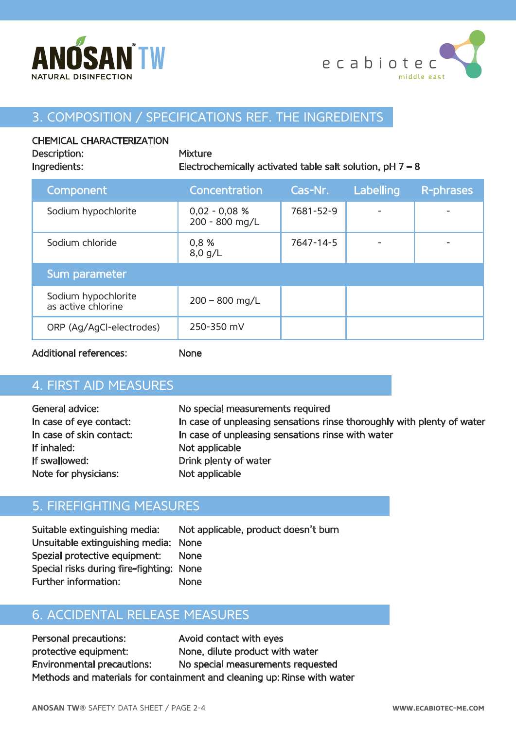



#### 3. COMPOSITION / SPECIFICATIONS REF. THE INGREDIENTS

#### CHEMICAL CHARACTERIZATION

| Description:<br>Ingredients:              | <b>Mixture</b><br>Electrochemically activated table salt solution, $pH 7 - 8$ |           |           |                  |
|-------------------------------------------|-------------------------------------------------------------------------------|-----------|-----------|------------------|
| Component                                 | Concentration                                                                 | Cas-Nr.   | Labelling | <b>R-phrases</b> |
| Sodium hypochlorite                       | $0,02 - 0,08 %$<br>200 - 800 mg/L                                             | 7681-52-9 |           |                  |
| Sodium chloride                           | 0,8%<br>$8,0$ g/L                                                             | 7647-14-5 |           |                  |
| Sum parameter                             |                                                                               |           |           |                  |
| Sodium hypochlorite<br>as active chlorine | $200 - 800$ mg/L                                                              |           |           |                  |
| ORP (Ag/AgCl-electrodes)                  | 250-350 mV                                                                    |           |           |                  |

Additional references: None

# 4. FIRST AID MEASURES

| General advice:          | No special measurements required                                       |
|--------------------------|------------------------------------------------------------------------|
| In case of eye contact:  | In case of unpleasing sensations rinse thoroughly with plenty of water |
| In case of skin contact: | In case of unpleasing sensations rinse with water                      |
| If inhaled:              | Not applicable                                                         |
| If swallowed:            | Drink plenty of water                                                  |
| Note for physicians:     | Not applicable                                                         |

#### 5. FIREFIGHTING MEASURES

Suitable extinguishing media: Not applicable, product doesn't burn Unsuitable extinguishing media: None Spezial protective equipment: None Special risks during fire-fighting: None Further information: None

#### 6. ACCIDENTAL RELEASE MEASURES

Personal precautions: Avoid contact with eyes protective equipment: None, dilute product with water Environmental precautions: No special measurements requested Methods and materials for containment and cleaning up: Rinse with water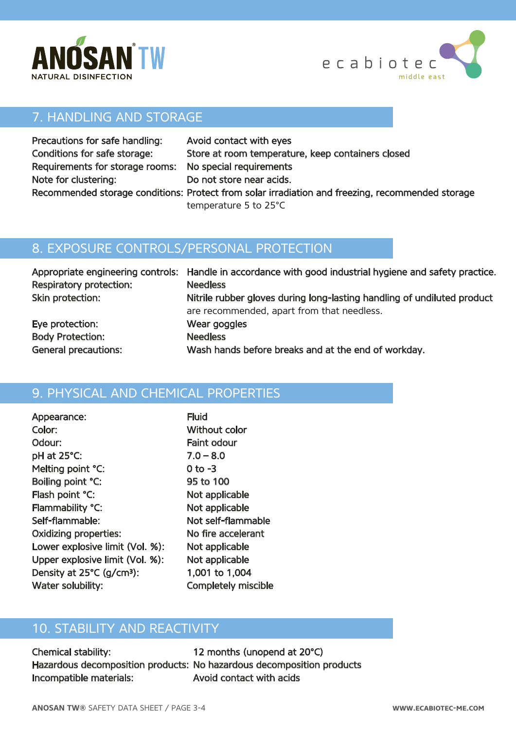



# 7. HANDLING AND STORAGE

| Precautions for safe handling:  | Avoid contact with eyes                                                                          |
|---------------------------------|--------------------------------------------------------------------------------------------------|
| Conditions for safe storage:    | Store at room temperature, keep containers closed                                                |
| Requirements for storage rooms: | No special requirements                                                                          |
| Note for clustering:            | Do not store near acids.                                                                         |
|                                 | Recommended storage conditions: Protect from solar irradiation and freezing, recommended storage |
|                                 | temperature 5 to 25°C                                                                            |

# 8. EXPOSURE CONTROLS/PERSONAL PROTECTION

| Respiratory protection:<br>Skin protection: | Appropriate engineering controls: Handle in accordance with good industrial hygiene and safety practice.<br><b>Needless</b><br>Nitrile rubber gloves during long-lasting handling of undiluted product<br>are recommended, apart from that needless. |
|---------------------------------------------|------------------------------------------------------------------------------------------------------------------------------------------------------------------------------------------------------------------------------------------------------|
| Eye protection:                             | Wear goggles                                                                                                                                                                                                                                         |
| <b>Body Protection:</b>                     | <b>Needless</b>                                                                                                                                                                                                                                      |
| <b>General precautions:</b>                 | Wash hands before breaks and at the end of workday.                                                                                                                                                                                                  |

# 9. PHYSICAL AND CHEMICAL PROPERTIES

| Appearance:                           | <b>Fluid</b>       |
|---------------------------------------|--------------------|
| Color:                                | <b>Without col</b> |
| Odour:                                | <b>Faint odour</b> |
| pH at 25°C:                           | $7.0 - 8.0$        |
| Melting point °C:                     | $0$ to -3          |
| Boiling point °C:                     | 95 to 100          |
| Flash point °C:                       | Not applica        |
| Flammability °C:                      | Not applica        |
| Self-flammable:                       | Not self-flar      |
| <b>Oxidizing properties:</b>          | No fire acce       |
| Lower explosive limit (Vol. %):       | Not applica        |
| Upper explosive limit (Vol. %):       | Not applica        |
| Density at 25°C (g/cm <sup>3</sup> ): | 1,001 to 1,        |
| Water solubility:                     | Completely         |

ut color plicable plicable **If-flammable** e accelerant plicable plicable to 1,004 etely miscible

# 10. STABILITY AND REACTIVITY

Chemical stability: 12 months (unopend at 20°C) Incompatible materials: Avoid contact with acids

Hazardous decomposition products: No hazardous decomposition products